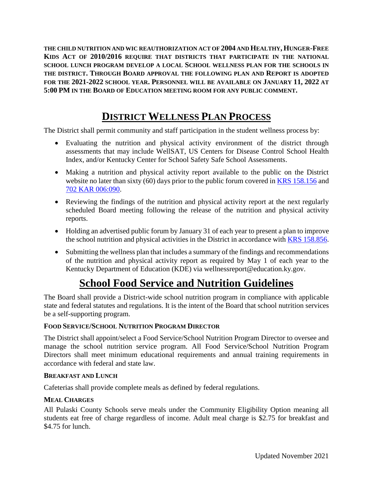**THE CHILD NUTRITION AND WIC REAUTHORIZATION ACT OF 2004 AND HEALTHY, HUNGER-FREE KIDS ACT OF 2010/2016 REQUIRE THAT DISTRICTS THAT PARTICIPATE IN THE NATIONAL SCHOOL LUNCH PROGRAM DEVELOP A LOCAL SCHOOL WELLNESS PLAN FOR THE SCHOOLS IN THE DISTRICT. THROUGH BOARD APPROVAL THE FOLLOWING PLAN AND REPORT IS ADOPTED FOR THE 2021-2022 SCHOOL YEAR. PERSONNEL WILL BE AVAILABLE ON JANUARY 11, 2022 AT 5:00 PM IN THE BOARD OF EDUCATION MEETING ROOM FOR ANY PUBLIC COMMENT.**

# **DISTRICT WELLNESS PLAN PROCESS**

The District shall permit community and staff participation in the student wellness process by:

- Evaluating the nutrition and physical activity environment of the district through assessments that may include WellSAT, US Centers for Disease Control School Health Index, and/or Kentucky Center for School Safety Safe School Assessments.
- Making a nutrition and physical activity report available to the public on the District website no later than sixty (60) days prior to the public forum covered in [KRS 158.156](http://policy.ksba.org/DocumentManager.aspx?requestarticle=/KRS/158-00/156.pdf&requesttype=krs) and [702 KAR 006:090.](http://policy.ksba.org/documentmanager.aspx?requestarticle=/kar/702/006/090.htm&requesttype=kar)
- Reviewing the findings of the nutrition and physical activity report at the next regularly scheduled Board meeting following the release of the nutrition and physical activity reports.
- Holding an advertised public forum by January 31 of each year to present a plan to improve the school nutrition and physical activities in the District in accordance with [KRS 158.856.](http://policy.ksba.org/DocumentManager.aspx?requestarticle=/KRS/158-00/856.pdf&requesttype=krs)
- Submitting the wellness plan that includes a summary of the findings and recommendations of the nutrition and physical activity report as required by May 1 of each year to the Kentucky Department of Education (KDE) via wellnessreport@education.ky.gov.

# **School Food Service and Nutrition Guidelines**

The Board shall provide a District-wide school nutrition program in compliance with applicable state and federal statutes and regulations. It is the intent of the Board that school nutrition services be a self-supporting program.

# **FOOD SERVICE/SCHOOL NUTRITION PROGRAM DIRECTOR**

The District shall appoint/select a Food Service/School Nutrition Program Director to oversee and manage the school nutrition service program. All Food Service/School Nutrition Program Directors shall meet minimum educational requirements and annual training requirements in accordance with federal and state law.

### **BREAKFAST AND LUNCH**

Cafeterias shall provide complete meals as defined by federal regulations.

# **MEAL CHARGES**

All Pulaski County Schools serve meals under the Community Eligibility Option meaning all students eat free of charge regardless of income. Adult meal charge is \$2.75 for breakfast and \$4.75 for lunch.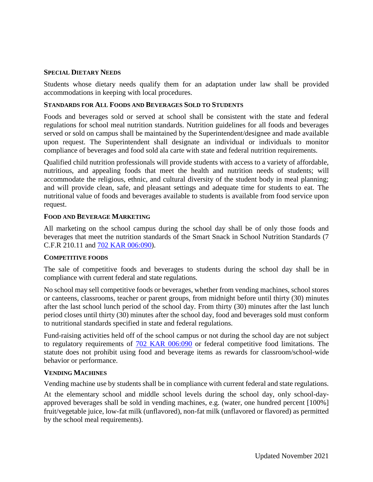### **SPECIAL DIETARY NEEDS**

Students whose dietary needs qualify them for an adaptation under law shall be provided accommodations in keeping with local procedures.

### **STANDARDS FOR ALL FOODS AND BEVERAGES SOLD TO STUDENTS**

Foods and beverages sold or served at school shall be consistent with the state and federal regulations for school meal nutrition standards. Nutrition guidelines for all foods and beverages served or sold on campus shall be maintained by the Superintendent/designee and made available upon request. The Superintendent shall designate an individual or individuals to monitor compliance of beverages and food sold ala carte with state and federal nutrition requirements.

Qualified child nutrition professionals will provide students with access to a variety of affordable, nutritious, and appealing foods that meet the health and nutrition needs of students; will accommodate the religious, ethnic, and cultural diversity of the student body in meal planning; and will provide clean, safe, and pleasant settings and adequate time for students to eat. The nutritional value of foods and beverages available to students is available from food service upon request.

### **FOOD AND BEVERAGE MARKETING**

All marketing on the school campus during the school day shall be of only those foods and beverages that meet the nutrition standards of the Smart Snack in School Nutrition Standards (7 C.F.R 210.11 and [702 KAR 006:090\)](http://policy.ksba.org/documentmanager.aspx?requestarticle=/kar/702/006/090.htm&requesttype=kar).

### **COMPETITIVE FOODS**

The sale of competitive foods and beverages to students during the school day shall be in compliance with current federal and state regulations.

No school may sell competitive foods or beverages, whether from vending machines, school stores or canteens, classrooms, teacher or parent groups, from midnight before until thirty (30) minutes after the last school lunch period of the school day. From thirty (30) minutes after the last lunch period closes until thirty (30) minutes after the school day, food and beverages sold must conform to nutritional standards specified in state and federal regulations.

Fund-raising activities held off of the school campus or not during the school day are not subject to regulatory requirements of [702 KAR 006:090](http://policy.ksba.org/documentmanager.aspx?requestarticle=/kar/702/006/090.htm&requesttype=kar) or federal competitive food limitations. The statute does not prohibit using food and beverage items as rewards for classroom/school-wide behavior or performance.

#### **VENDING MACHINES**

Vending machine use by students shall be in compliance with current federal and state regulations.

At the elementary school and middle school levels during the school day, only school-dayapproved beverages shall be sold in vending machines, e.g. (water, one hundred percent [100%] fruit/vegetable juice, low-fat milk (unflavored), non-fat milk (unflavored or flavored) as permitted by the school meal requirements).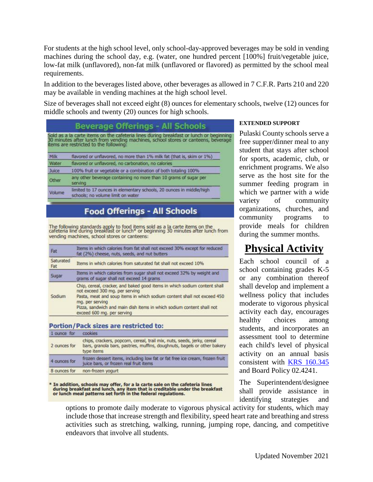For students at the high school level, only school-day-approved beverages may be sold in vending machines during the school day, e.g. (water, one hundred percent [100%] fruit/vegetable juice, low-fat milk (unflavored), non-fat milk (unflavored or flavored) as permitted by the school meal requirements.

In addition to the beverages listed above, other beverages as allowed in 7 C.F.R. Parts 210 and 220 may be available in vending machines at the high school level.

Size of beverages shall not exceed eight (8) ounces for elementary schools, twelve (12) ounces for middle schools and twenty (20) ounces for high schools.

# **Beverage Offerings - All Schools**

Sold as a la carte items on the cafeteria lines during breakfast or lunch or beginning<br>30 minutes after lunch from vending machines, school stores or canteens, beverage<br>items are restricted to the following:

| Milk   | flavored or unflavored, no more than 1% milk fat (that is, skim or 1%).                                   |
|--------|-----------------------------------------------------------------------------------------------------------|
| Water  | flavored or unflavored, no carbonation, no calories                                                       |
| Juice  | 100% fruit or vegetable or a combination of both totaling 100%                                            |
| Other  | any other beverage containing no more than 10 grams of sugar per<br>serving                               |
| Volume | limited to 17 ounces in elementary schools, 20 ounces in middle/high<br>schools; no volume limit on water |

# **Food Offerings - All Schools**

The following standards apply to food items sold as a la carte items on the cafeteria line during breakfast or lunch\* or beginning 30 minutes after lunch from vending machines, school stores or canteens:

| Fat              | Items in which calories from fat shall not exceed 30% except for reduced<br>fat (2%) cheese, nuts, seeds, and nut butters                                                                                                                                                                                        |
|------------------|------------------------------------------------------------------------------------------------------------------------------------------------------------------------------------------------------------------------------------------------------------------------------------------------------------------|
| Saturated<br>Fat | Items in which calories from saturated fat shall not exceed 10%                                                                                                                                                                                                                                                  |
| Sugar            | Items in which calories from sugar shall not exceed 32% by weight and<br>grams of sugar shall not exceed 14 grams                                                                                                                                                                                                |
| Sodium           | Chip, cereal, cracker, and baked good items in which sodium content shall<br>not exceed 300 mg, per serving<br>Pasta, meat and soup items in which sodium content shall not exceed 450<br>mg. per serving<br>Pizza, sandwich and main dish items in which sodium content shall not<br>exceed 600 mg. per serving |

#### **Portion/Pack sizes are restricted to:**

| 1 ounce for  | cookies                                                                                                                                                           |
|--------------|-------------------------------------------------------------------------------------------------------------------------------------------------------------------|
| 2 ounces for | chips, crackers, popcorn, cereal, trail mix, nuts, seeds, jerky, cereal<br>bars, granola bars, pastries, muffins, doughnuts, bagels or other bakery<br>type items |
| 4 ounces for | frozen dessert items, including low fat or fat free ice cream, frozen fruit<br>juice bars, or frozen real fruit items                                             |
| 8 ounces for | non-frozen yogurt                                                                                                                                                 |

In addition, schools may offer, for a la carte sale on the cafeteria lines<br>during breakfast and lunch, any item that is creditable under the breakfast<br>or lunch meal patterns set forth in the federal regulations.

### **EXTENDED SUPPORT**

Pulaski County schools serve a free supper/dinner meal to any student that stays after school for sports, academic, club, or enrichment programs. We also serve as the host site for the summer feeding program in which we partner with a wide variety of community organizations, churches, and community programs to provide meals for children during the summer months.

# **Physical Activity**

Each school council of a school containing grades K-5 or any combination thereof shall develop and implement a wellness policy that includes moderate to vigorous physical activity each day, encourages healthy choices among students, and incorporates an assessment tool to determine each child's level of physical activity on an annual basis consistent with [KRS 160.345](http://policy.ksba.org/DocumentManager.aspx?requestarticle=/KRS/160-00/345.pdf&requesttype=krs) and Board Policy 02.4241.

The Superintendent/designee shall provide assistance in identifying strategies and

options to promote daily moderate to vigorous physical activity for students, which may include those that increase strength and flexibility, speed heart rate and breathing and stress activities such as stretching, walking, running, jumping rope, dancing, and competitive endeavors that involve all students.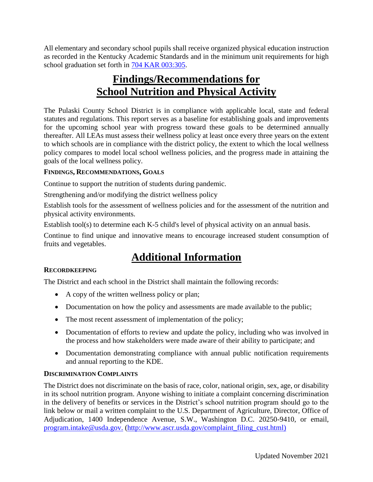All elementary and secondary school pupils shall receive organized physical education instruction as recorded in the Kentucky Academic Standards and in the minimum unit requirements for high school graduation set forth in [704 KAR 003:305.](http://policy.ksba.org/documentmanager.aspx?requestarticle=/kar/704/003/305.htm&requesttype=kar)

# **Findings/Recommendations for School Nutrition and Physical Activity**

The Pulaski County School District is in compliance with applicable local, state and federal statutes and regulations. This report serves as a baseline for establishing goals and improvements for the upcoming school year with progress toward these goals to be determined annually thereafter. All LEAs must assess their wellness policy at least once every three years on the extent to which schools are in compliance with the district policy, the extent to which the local wellness policy compares to model local school wellness policies, and the progress made in attaining the goals of the local wellness policy.

## **FINDINGS, RECOMMENDATIONS, GOALS**

Continue to support the nutrition of students during pandemic.

Strengthening and/or modifying the district wellness policy

Establish tools for the assessment of wellness policies and for the assessment of the nutrition and physical activity environments.

Establish tool(s) to determine each K-5 child's level of physical activity on an annual basis.

Continue to find unique and innovative means to encourage increased student consumption of fruits and vegetables.

# **Additional Information**

# **RECORDKEEPING**

The District and each school in the District shall maintain the following records:

- A copy of the written wellness policy or plan;
- Documentation on how the policy and assessments are made available to the public;
- The most recent assessment of implementation of the policy;
- Documentation of efforts to review and update the policy, including who was involved in the process and how stakeholders were made aware of their ability to participate; and
- Documentation demonstrating compliance with annual public notification requirements and annual reporting to the KDE.

### **DISCRIMINATION COMPLAINTS**

The District does not discriminate on the basis of race, color, national origin, sex, age, or disability in its school nutrition program. Anyone wishing to initiate a complaint concerning discrimination in the delivery of benefits or services in the District's school nutrition program should go to the link below or mail a written complaint to the U.S. Department of Agriculture, Director, Office of Adjudication, 1400 Independence Avenue, S.W., Washington D.C. 20250-9410, or email, [program.intake@usda.gov.](file:///C:/Users/integrityit/AppData/Roaming/Analyzer_Docs/program.intake@usda.gov) [\(http://www.ascr.usda.gov/complaint\\_filing\\_cust.html\)](http://www.ascr.usda.gov/complaint_filing_cust.html)